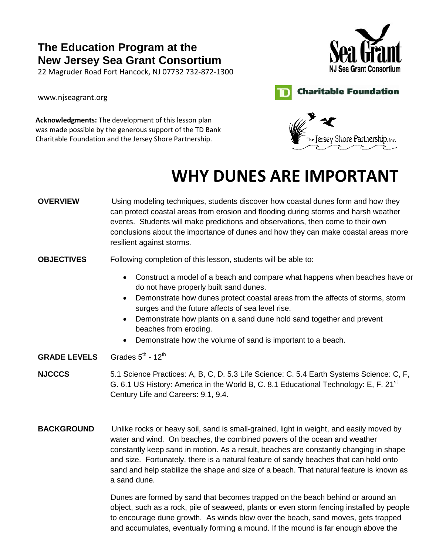22 Magruder Road Fort Hancock, NJ 07732 732‐872‐1300

[www.njseagrant.org](http://www.njseagrant.org/)





**Acknowledgments:** The development of this lesson plan was made possible by the generous support of the TD Bank Charitable Foundation and the Jersey Shore Partnership.



# **WHY DUNES ARE IMPORTANT**

**OVERVIEW** Using modeling techniques, students discover how coastal dunes form and how they can protect coastal areas from erosion and flooding during storms and harsh weather events. Students will make predictions and observations, then come to their own conclusions about the importance of dunes and how they can make coastal areas more resilient against storms.

#### **OBJECTIVES** Following completion of this lesson, students will be able to:

- Construct a model of a beach and compare what happens when beaches have or do not have properly built sand dunes.
- Demonstrate how dunes protect coastal areas from the affects of storms, storm surges and the future affects of sea level rise.
- Demonstrate how plants on a sand dune hold sand together and prevent beaches from eroding.
- Demonstrate how the volume of sand is important to a beach.
- **GRADE LEVELS** Grades  $5^{th}$  - 12<sup>th</sup>
- **NJCCCS** 5.1 Science Practices: A, B, C, D. 5.3 Life Science: C. 5.4 Earth Systems Science: C, F, G. 6.1 US History: America in the World B, C. 8.1 Educational Technology: E, F. 21<sup>st</sup> Century Life and Careers: 9.1, 9.4.
- **BACKGROUND** Unlike rocks or heavy soil, sand is small-grained, light in weight, and easily moved by water and wind. On beaches, the combined powers of the ocean and weather constantly keep sand in motion. As a result, beaches are constantly changing in shape and size. Fortunately, there is a natural feature of sandy beaches that can hold onto sand and help stabilize the shape and size of a beach. That natural feature is known as a sand dune.

 Dunes are formed by sand that becomes trapped on the beach behind or around an object, such as a rock, pile of seaweed, plants or even storm fencing installed by people to encourage dune growth. As winds blow over the beach, sand moves, gets trapped and accumulates, eventually forming a mound. If the mound is far enough above the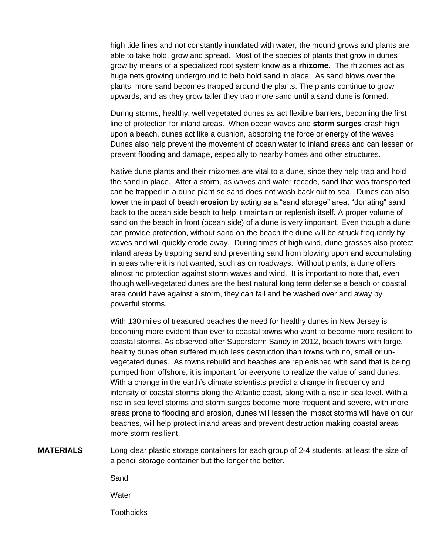high tide lines and not constantly inundated with water, the mound grows and plants are able to take hold, grow and spread. Most of the species of plants that grow in dunes grow by means of a specialized root system know as a **rhizome**. The rhizomes act as huge nets growing underground to help hold sand in place. As sand blows over the plants, more sand becomes trapped around the plants. The plants continue to grow upwards, and as they grow taller they trap more sand until a sand dune is formed.

 During storms, healthy, well vegetated dunes as act flexible barriers, becoming the first line of protection for inland areas. When ocean waves and **storm surges** crash high upon a beach, dunes act like a cushion, absorbing the force or energy of the waves. Dunes also help prevent the movement of ocean water to inland areas and can lessen or prevent flooding and damage, especially to nearby homes and other structures.

Native dune plants and their rhizomes are vital to a dune, since they help trap and hold the sand in place. After a storm, as waves and water recede, sand that was transported can be trapped in a dune plant so sand does not wash back out to sea. Dunes can also lower the impact of beach **erosion** by acting as a "sand storage" area, "donating" sand back to the ocean side beach to help it maintain or replenish itself. A proper volume of sand on the beach in front (ocean side) of a dune is very important. Even though a dune can provide protection, without sand on the beach the dune will be struck frequently by waves and will quickly erode away. During times of high wind, dune grasses also protect inland areas by trapping sand and preventing sand from blowing upon and accumulating in areas where it is not wanted, such as on roadways. Without plants, a dune offers almost no protection against storm waves and wind. It is important to note that, even though well-vegetated dunes are the best natural long term defense a beach or coastal area could have against a storm, they can fail and be washed over and away by powerful storms.

With 130 miles of treasured beaches the need for healthy dunes in New Jersey is becoming more evident than ever to coastal towns who want to become more resilient to coastal storms. As observed after Superstorm Sandy in 2012, beach towns with large, healthy dunes often suffered much less destruction than towns with no, small or unvegetated dunes. As towns rebuild and beaches are replenished with sand that is being pumped from offshore, it is important for everyone to realize the value of sand dunes. With a change in the earth's climate scientists predict a change in frequency and intensity of coastal storms along the Atlantic coast, along with a rise in sea level. With a rise in sea level storms and storm surges become more frequent and severe, with more areas prone to flooding and erosion, dunes will lessen the impact storms will have on our beaches, will help protect inland areas and prevent destruction making coastal areas more storm resilient.

**MATERIALS** Long clear plastic storage containers for each group of 2-4 students, at least the size of a pencil storage container but the longer the better.

Sand

**Water** 

**Toothpicks**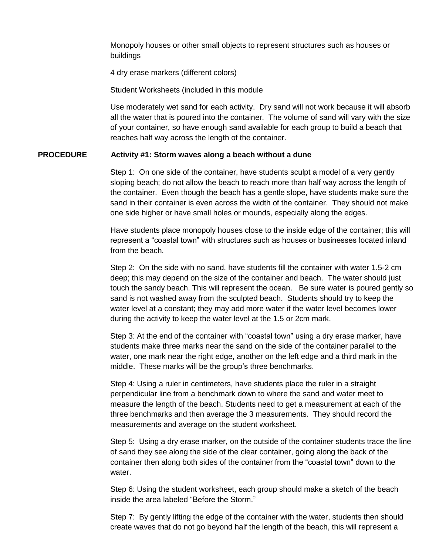Monopoly houses or other small objects to represent structures such as houses or buildings

4 dry erase markers (different colors)

Student Worksheets (included in this module

Use moderately wet sand for each activity. Dry sand will not work because it will absorb all the water that is poured into the container. The volume of sand will vary with the size of your container, so have enough sand available for each group to build a beach that reaches half way across the length of the container.

#### **PROCEDURE Activity #1: Storm waves along a beach without a dune**

Step 1: On one side of the container, have students sculpt a model of a very gently sloping beach; do not allow the beach to reach more than half way across the length of the container. Even though the beach has a gentle slope, have students make sure the sand in their container is even across the width of the container. They should not make one side higher or have small holes or mounds, especially along the edges.

Have students place monopoly houses close to the inside edge of the container; this will represent a "coastal town" with structures such as houses or businesses located inland from the beach.

Step 2: On the side with no sand, have students fill the container with water 1.5-2 cm deep; this may depend on the size of the container and beach. The water should just touch the sandy beach. This will represent the ocean. Be sure water is poured gently so sand is not washed away from the sculpted beach. Students should try to keep the water level at a constant; they may add more water if the water level becomes lower during the activity to keep the water level at the 1.5 or 2cm mark.

Step 3: At the end of the container with "coastal town" using a dry erase marker, have students make three marks near the sand on the side of the container parallel to the water, one mark near the right edge, another on the left edge and a third mark in the middle. These marks will be the group's three benchmarks.

Step 4: Using a ruler in centimeters, have students place the ruler in a straight perpendicular line from a benchmark down to where the sand and water meet to measure the length of the beach. Students need to get a measurement at each of the three benchmarks and then average the 3 measurements. They should record the measurements and average on the student worksheet.

Step 5: Using a dry erase marker, on the outside of the container students trace the line of sand they see along the side of the clear container, going along the back of the container then along both sides of the container from the "coastal town" down to the water.

Step 6: Using the student worksheet, each group should make a sketch of the beach inside the area labeled "Before the Storm."

Step 7: By gently lifting the edge of the container with the water, students then should create waves that do not go beyond half the length of the beach, this will represent a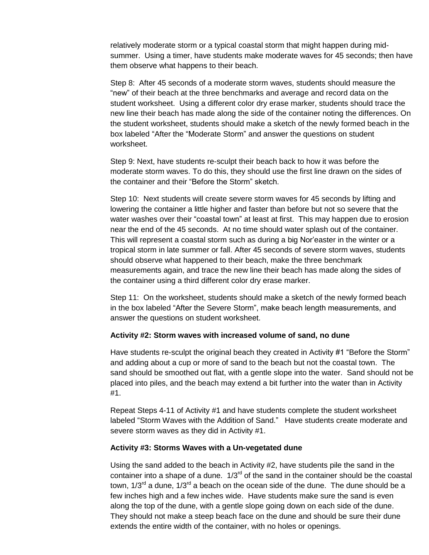relatively moderate storm or a typical coastal storm that might happen during midsummer. Using a timer, have students make moderate waves for 45 seconds; then have them observe what happens to their beach.

Step 8: After 45 seconds of a moderate storm waves, students should measure the "new" of their beach at the three benchmarks and average and record data on the student worksheet. Using a different color dry erase marker, students should trace the new line their beach has made along the side of the container noting the differences. On the student worksheet, students should make a sketch of the newly formed beach in the box labeled "After the "Moderate Storm" and answer the questions on student worksheet.

Step 9: Next, have students re-sculpt their beach back to how it was before the moderate storm waves. To do this, they should use the first line drawn on the sides of the container and their "Before the Storm" sketch.

Step 10: Next students will create severe storm waves for 45 seconds by lifting and lowering the container a little higher and faster than before but not so severe that the water washes over their "coastal town" at least at first. This may happen due to erosion near the end of the 45 seconds. At no time should water splash out of the container. This will represent a coastal storm such as during a big Nor'easter in the winter or a tropical storm in late summer or fall. After 45 seconds of severe storm waves, students should observe what happened to their beach, make the three benchmark measurements again, and trace the new line their beach has made along the sides of the container using a third different color dry erase marker.

Step 11: On the worksheet, students should make a sketch of the newly formed beach in the box labeled "After the Severe Storm", make beach length measurements, and answer the questions on student worksheet.

#### **Activity #2: Storm waves with increased volume of sand, no dune**

Have students re-sculpt the original beach they created in Activity #1 "Before the Storm" and adding about a cup or more of sand to the beach but not the coastal town. The sand should be smoothed out flat, with a gentle slope into the water. Sand should not be placed into piles, and the beach may extend a bit further into the water than in Activity #1.

Repeat Steps 4-11 of Activity #1 and have students complete the student worksheet labeled "Storm Waves with the Addition of Sand." Have students create moderate and severe storm waves as they did in Activity #1.

#### **Activity #3: Storms Waves with a Un-vegetated dune**

Using the sand added to the beach in Activity #2, have students pile the sand in the container into a shape of a dune.  $1/3^{rd}$  of the sand in the container should be the coastal town,  $1/3^{rd}$  a dune,  $1/3^{rd}$  a beach on the ocean side of the dune. The dune should be a few inches high and a few inches wide. Have students make sure the sand is even along the top of the dune, with a gentle slope going down on each side of the dune. They should not make a steep beach face on the dune and should be sure their dune extends the entire width of the container, with no holes or openings.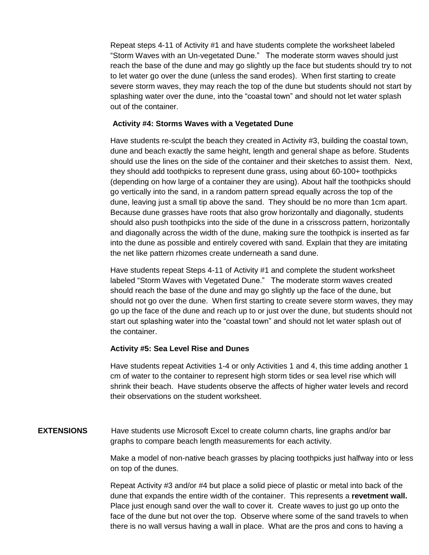Repeat steps 4-11 of Activity #1 and have students complete the worksheet labeled "Storm Waves with an Un-vegetated Dune." The moderate storm waves should just reach the base of the dune and may go slightly up the face but students should try to not to let water go over the dune (unless the sand erodes). When first starting to create severe storm waves, they may reach the top of the dune but students should not start by splashing water over the dune, into the "coastal town" and should not let water splash out of the container.

#### **Activity #4: Storms Waves with a Vegetated Dune**

Have students re-sculpt the beach they created in Activity #3, building the coastal town, dune and beach exactly the same height, length and general shape as before. Students should use the lines on the side of the container and their sketches to assist them. Next, they should add toothpicks to represent dune grass, using about 60-100+ toothpicks (depending on how large of a container they are using). About half the toothpicks should go vertically into the sand, in a random pattern spread equally across the top of the dune, leaving just a small tip above the sand. They should be no more than 1cm apart. Because dune grasses have roots that also grow horizontally and diagonally, students should also push toothpicks into the side of the dune in a crisscross pattern, horizontally and diagonally across the width of the dune, making sure the toothpick is inserted as far into the dune as possible and entirely covered with sand. Explain that they are imitating the net like pattern rhizomes create underneath a sand dune.

Have students repeat Steps 4-11 of Activity #1 and complete the student worksheet labeled "Storm Waves with Vegetated Dune." The moderate storm waves created should reach the base of the dune and may go slightly up the face of the dune, but should not go over the dune. When first starting to create severe storm waves, they may go up the face of the dune and reach up to or just over the dune, but students should not start out splashing water into the "coastal town" and should not let water splash out of the container.

#### **Activity #5: Sea Level Rise and Dunes**

Have students repeat Activities 1-4 or only Activities 1 and 4, this time adding another 1 cm of water to the container to represent high storm tides or sea level rise which will shrink their beach. Have students observe the affects of higher water levels and record their observations on the student worksheet.

### **EXTENSIONS** Have students use Microsoft Excel to create column charts, line graphs and/or bar graphs to compare beach length measurements for each activity.

Make a model of non-native beach grasses by placing toothpicks just halfway into or less on top of the dunes.

Repeat Activity #3 and/or #4 but place a solid piece of plastic or metal into back of the dune that expands the entire width of the container. This represents a **revetment wall.** Place just enough sand over the wall to cover it. Create waves to just go up onto the face of the dune but not over the top. Observe where some of the sand travels to when there is no wall versus having a wall in place. What are the pros and cons to having a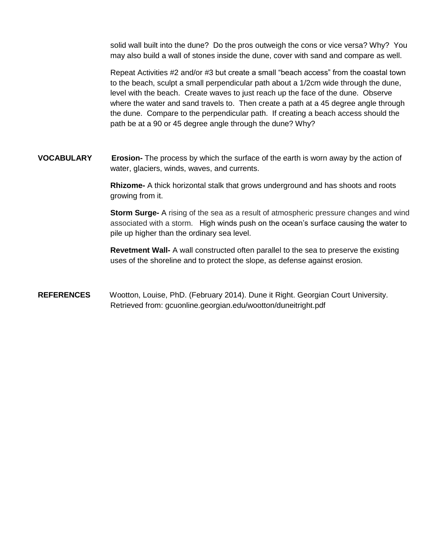solid wall built into the dune? Do the pros outweigh the cons or vice versa? Why? You may also build a wall of stones inside the dune, cover with sand and compare as well.

Repeat Activities #2 and/or #3 but create a small "beach access" from the coastal town to the beach, sculpt a small perpendicular path about a 1/2cm wide through the dune, level with the beach. Create waves to just reach up the face of the dune. Observe where the water and sand travels to. Then create a path at a 45 degree angle through the dune. Compare to the perpendicular path. If creating a beach access should the path be at a 90 or 45 degree angle through the dune? Why?

**VOCABULARY Erosion-** The process by which the surface of the earth is worn away by the action of water, glaciers, winds, waves, and currents.

> **Rhizome-** A thick horizontal stalk that grows underground and has shoots and roots growing from it.

**Storm Surge-** A rising of the sea as a result of atmospheric pressure changes and wind associated with a storm. High winds push on the ocean's surface causing the water to pile up higher than the ordinary sea level.

**Revetment Wall-** A wall constructed often parallel to the sea to preserve the existing uses of the shoreline and to protect the slope, as defense against erosion.

**REFERENCES** Wootton, Louise, PhD. (February 2014). Dune it Right. Georgian Court University. Retrieved from: gcuonline.georgian.edu/wootton/duneitright.pdf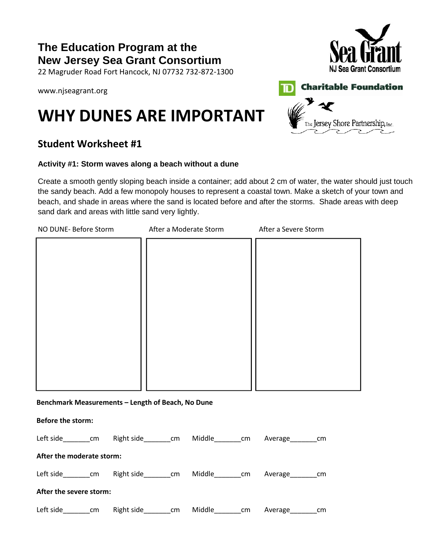22 Magruder Road Fort Hancock, NJ 07732 732‐872‐1300

[www.njseagrant.org](http://www.njseagrant.org/)

## **WHY DUNES ARE IMPORTANT**

### **Student Worksheet #1**

### **Activity #1: Storm waves along a beach without a dune**

Create a smooth gently sloping beach inside a container; add about 2 cm of water, the water should just touch the sandy beach. Add a few monopoly houses to represent a coastal town. Make a sketch of your town and beach, and shade in areas where the sand is located before and after the storms. Shade areas with deep sand dark and areas with little sand very lightly.

| NO DUNE- Before Storm                             | After a Moderate Storm                                                   | After a Severe Storm |  |  |  |  |
|---------------------------------------------------|--------------------------------------------------------------------------|----------------------|--|--|--|--|
|                                                   |                                                                          |                      |  |  |  |  |
|                                                   |                                                                          |                      |  |  |  |  |
|                                                   |                                                                          |                      |  |  |  |  |
|                                                   |                                                                          |                      |  |  |  |  |
|                                                   |                                                                          |                      |  |  |  |  |
|                                                   |                                                                          |                      |  |  |  |  |
|                                                   |                                                                          |                      |  |  |  |  |
|                                                   |                                                                          |                      |  |  |  |  |
|                                                   |                                                                          |                      |  |  |  |  |
|                                                   |                                                                          |                      |  |  |  |  |
| Benchmark Measurements - Length of Beach, No Dune |                                                                          |                      |  |  |  |  |
| <b>Before the storm:</b>                          |                                                                          |                      |  |  |  |  |
|                                                   | Left side________cm Right side_______cm Middle_______cm Average_______cm |                      |  |  |  |  |
| Aftau tha maadayata stayyar                       |                                                                          |                      |  |  |  |  |

| After the moderate storm: |            |               |        |    |         |     |
|---------------------------|------------|---------------|--------|----|---------|-----|
| Left side<br>cm           | Right side | <sub>cm</sub> | Middle | cm | Average | cm. |
| After the severe storm:   |            |               |        |    |         |     |

Left side cm Right side cm Middle cm Average cm





**Charitable Foundation**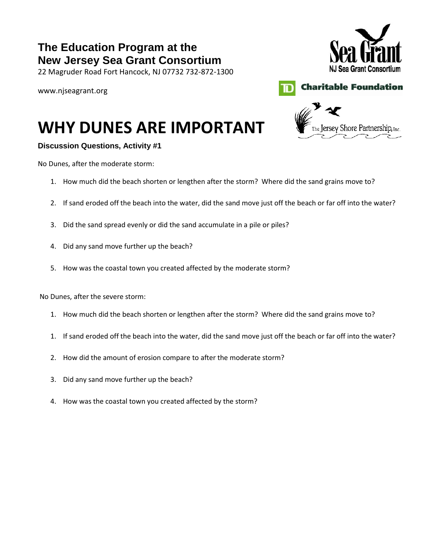22 Magruder Road Fort Hancock, NJ 07732 732‐872‐1300

[www.njseagrant.org](http://www.njseagrant.org/)



he Jersey Shore Partnership, inc.



# **WHY DUNES ARE IMPORTANT**

### **Discussion Questions, Activity #1**

No Dunes, after the moderate storm:

- 1. How much did the beach shorten or lengthen after the storm? Where did the sand grains move to?
- 2. If sand eroded off the beach into the water, did the sand move just off the beach or far off into the water?
- 3. Did the sand spread evenly or did the sand accumulate in a pile or piles?
- 4. Did any sand move further up the beach?
- 5. How was the coastal town you created affected by the moderate storm?

No Dunes, after the severe storm:

- 1. How much did the beach shorten or lengthen after the storm? Where did the sand grains move to?
- 1. If sand eroded off the beach into the water, did the sand move just off the beach or far off into the water?
- 2. How did the amount of erosion compare to after the moderate storm?
- 3. Did any sand move further up the beach?
- 4. How was the coastal town you created affected by the storm?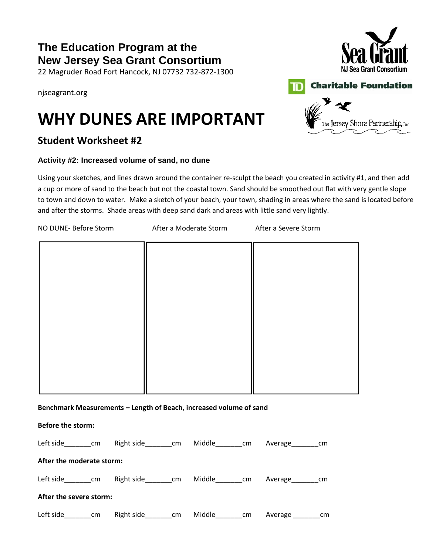22 Magruder Road Fort Hancock, NJ 07732 732‐872‐1300

njseagrant.org

## **WHY DUNES ARE IMPORTANT**

### **Student Worksheet #2**

### **Activity #2: Increased volume of sand, no dune**

Using your sketches, and lines drawn around the container re-sculpt the beach you created in activity #1, and then add a cup or more of sand to the beach but not the coastal town. Sand should be smoothed out flat with very gentle slope to town and down to water. Make a sketch of your beach, your town, shading in areas where the sand is located before and after the storms. Shade areas with deep sand dark and areas with little sand very lightly.

| NO DUNE- Before Storm                                                        |  |  | After a Moderate Storm After a Severe Storm |  |
|------------------------------------------------------------------------------|--|--|---------------------------------------------|--|
|                                                                              |  |  |                                             |  |
|                                                                              |  |  |                                             |  |
|                                                                              |  |  |                                             |  |
|                                                                              |  |  |                                             |  |
|                                                                              |  |  |                                             |  |
|                                                                              |  |  |                                             |  |
|                                                                              |  |  |                                             |  |
|                                                                              |  |  |                                             |  |
| Benchmark Measurements - Length of Beach, increased volume of sand           |  |  |                                             |  |
| Before the storm:                                                            |  |  |                                             |  |
| Left side_________cm Right side________cm Middle________cm Average________cm |  |  |                                             |  |
| After the moderate storm:                                                    |  |  |                                             |  |
| Left side_________cm Right side________cm Middle________cm Average________cm |  |  |                                             |  |

### **After the severe storm:**

Left side\_\_\_\_\_\_\_\_cm Right side\_\_\_\_\_\_\_\_cm Middle\_\_\_\_\_\_\_\_cm Average \_\_\_\_\_\_\_\_cm



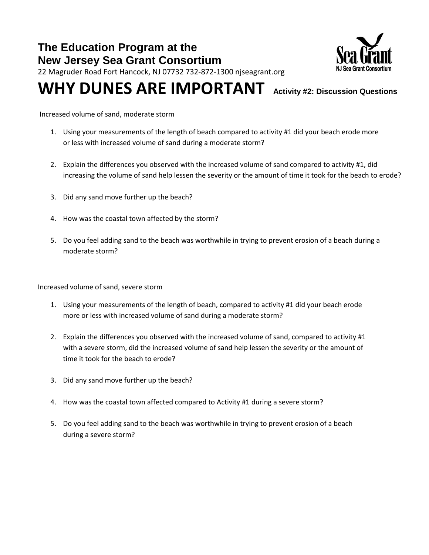

22 Magruder Road Fort Hancock, NJ 07732 732‐872‐1300 njseagrant.org

## **WHY DUNES ARE IMPORTANT Activity #2: Discussion Questions**

Increased volume of sand, moderate storm

- 1. Using your measurements of the length of beach compared to activity #1 did your beach erode more or less with increased volume of sand during a moderate storm?
- 2. Explain the differences you observed with the increased volume of sand compared to activity #1, did increasing the volume of sand help lessen the severity or the amount of time it took for the beach to erode?
- 3. Did any sand move further up the beach?
- 4. How was the coastal town affected by the storm?
- 5. Do you feel adding sand to the beach was worthwhile in trying to prevent erosion of a beach during a moderate storm?

Increased volume of sand, severe storm

- 1. Using your measurements of the length of beach, compared to activity #1 did your beach erode more or less with increased volume of sand during a moderate storm?
- 2. Explain the differences you observed with the increased volume of sand, compared to activity #1 with a severe storm, did the increased volume of sand help lessen the severity or the amount of time it took for the beach to erode?
- 3. Did any sand move further up the beach?
- 4. How was the coastal town affected compared to Activity #1 during a severe storm?
- 5. Do you feel adding sand to the beach was worthwhile in trying to prevent erosion of a beach during a severe storm?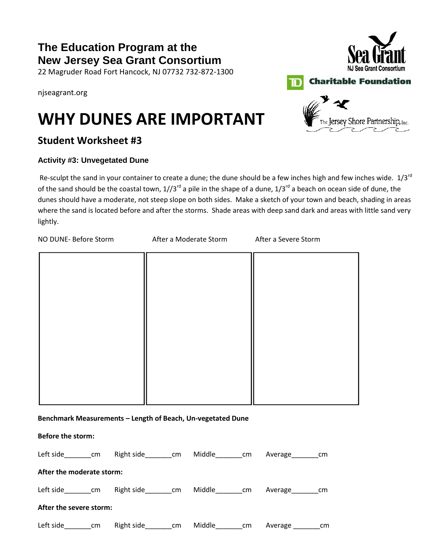22 Magruder Road Fort Hancock, NJ 07732 732‐872‐1300

njseagrant.org

## **WHY DUNES ARE IMPORTANT**

### **Student Worksheet #3**

### **Activity #3: Unvegetated Dune**

Re-sculpt the sand in your container to create a dune; the dune should be a few inches high and few inches wide.  $1/3^{rd}$ of the sand should be the coastal town,  $1/3^{rd}$  a pile in the shape of a dune,  $1/3^{rd}$  a beach on ocean side of dune, the dunes should have a moderate, not steep slope on both sides. Make a sketch of your town and beach, shading in areas where the sand is located before and after the storms. Shade areas with deep sand dark and areas with little sand very lightly.

| NO DUNE- Before Storm     |  |                                                                            | After a Moderate Storm After a Severe Storm |                   |               |    |  |
|---------------------------|--|----------------------------------------------------------------------------|---------------------------------------------|-------------------|---------------|----|--|
|                           |  |                                                                            |                                             |                   |               |    |  |
|                           |  |                                                                            |                                             |                   |               |    |  |
|                           |  |                                                                            |                                             |                   |               |    |  |
|                           |  |                                                                            |                                             |                   |               |    |  |
|                           |  |                                                                            |                                             |                   |               |    |  |
|                           |  |                                                                            |                                             |                   |               |    |  |
|                           |  |                                                                            |                                             |                   |               |    |  |
|                           |  | Benchmark Measurements - Length of Beach, Un-vegetated Dune                |                                             |                   |               |    |  |
| <b>Before the storm:</b>  |  |                                                                            |                                             |                   |               |    |  |
|                           |  | Left side________cm Right side________cm Middle_______cm Average________cm |                                             |                   |               |    |  |
| After the moderate storm: |  |                                                                            |                                             |                   |               |    |  |
|                           |  | Left side________cm Right side________cm Middle_______cm Average________cm |                                             |                   |               |    |  |
| After the severe storm:   |  |                                                                            |                                             |                   |               |    |  |
| Left side_________cm      |  | Right side_________cm                                                      |                                             | Middle_________cm | Average _____ | cm |  |



**Charitable Foundation**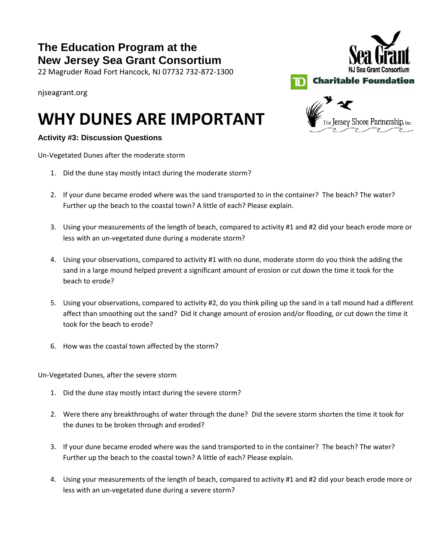22 Magruder Road Fort Hancock, NJ 07732 732‐872‐1300

njseagrant.org

## **WHY DUNES ARE IMPORTANT**

### **Activity #3: Discussion Questions**

Un-Vegetated Dunes after the moderate storm

- 1. Did the dune stay mostly intact during the moderate storm?
- 2. If your dune became eroded where was the sand transported to in the container? The beach? The water? Further up the beach to the coastal town? A little of each? Please explain.
- 3. Using your measurements of the length of beach, compared to activity #1 and #2 did your beach erode more or less with an un-vegetated dune during a moderate storm?
- 4. Using your observations, compared to activity #1 with no dune, moderate storm do you think the adding the sand in a large mound helped prevent a significant amount of erosion or cut down the time it took for the beach to erode?
- 5. Using your observations, compared to activity #2, do you think piling up the sand in a tall mound had a different affect than smoothing out the sand? Did it change amount of erosion and/or flooding, or cut down the time it took for the beach to erode?
- 6. How was the coastal town affected by the storm?

Un-Vegetated Dunes, after the severe storm

- 1. Did the dune stay mostly intact during the severe storm?
- 2. Were there any breakthroughs of water through the dune? Did the severe storm shorten the time it took for the dunes to be broken through and eroded?
- 3. If your dune became eroded where was the sand transported to in the container? The beach? The water? Further up the beach to the coastal town? A little of each? Please explain.
- 4. Using your measurements of the length of beach, compared to activity #1 and #2 did your beach erode more or less with an un-vegetated dune during a severe storm?



he Jersey Shore Partnership, Inc

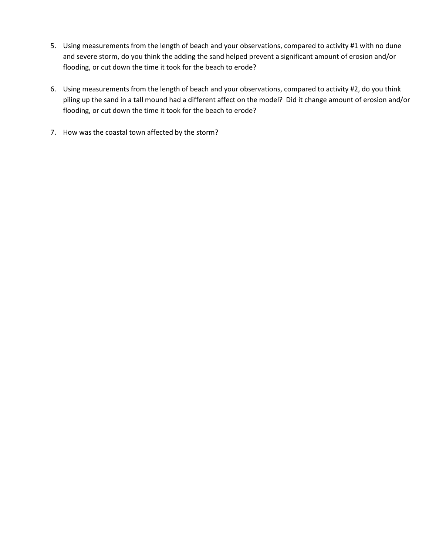- 5. Using measurements from the length of beach and your observations, compared to activity #1 with no dune and severe storm, do you think the adding the sand helped prevent a significant amount of erosion and/or flooding, or cut down the time it took for the beach to erode?
- 6. Using measurements from the length of beach and your observations, compared to activity #2, do you think piling up the sand in a tall mound had a different affect on the model? Did it change amount of erosion and/or flooding, or cut down the time it took for the beach to erode?
- 7. How was the coastal town affected by the storm?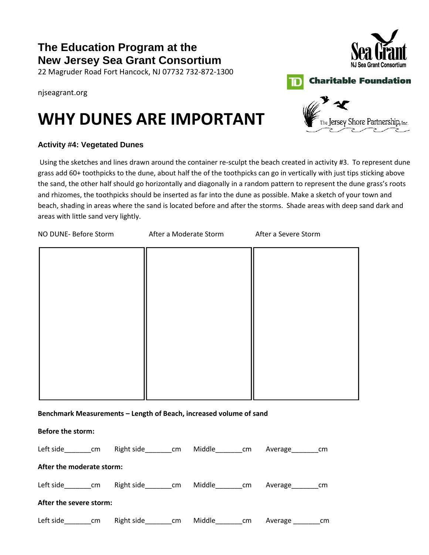22 Magruder Road Fort Hancock, NJ 07732 732‐872‐1300

#### njseagrant.org

## **WHY DUNES ARE IMPORTANT**

### **Activity #4: Vegetated Dunes**

Using the sketches and lines drawn around the container re-sculpt the beach created in activity #3. To represent dune grass add 60+ toothpicks to the dune, about half the of the toothpicks can go in vertically with just tips sticking above the sand, the other half should go horizontally and diagonally in a random pattern to represent the dune grass's roots and rhizomes, the toothpicks should be inserted as far into the dune as possible. Make a sketch of your town and beach, shading in areas where the sand is located before and after the storms. Shade areas with deep sand dark and areas with little sand very lightly.

| NO DUNE- Before Storm | After a Moderate Storm                                             | After a Severe Storm |
|-----------------------|--------------------------------------------------------------------|----------------------|
|                       |                                                                    |                      |
|                       |                                                                    |                      |
|                       |                                                                    |                      |
|                       |                                                                    |                      |
|                       |                                                                    |                      |
|                       |                                                                    |                      |
|                       |                                                                    |                      |
|                       |                                                                    |                      |
|                       |                                                                    |                      |
|                       |                                                                    |                      |
|                       | Benchmark Measurements - Length of Beach, increased volume of sand |                      |
| Before the storm:     |                                                                    |                      |

| Left side                 | cm | Right side | cm | Middle | cm | Average | cm |
|---------------------------|----|------------|----|--------|----|---------|----|
| After the moderate storm: |    |            |    |        |    |         |    |
| Left side                 | cm | Right side | cm | Middle | cm | Average | cm |
| After the severe storm:   |    |            |    |        |    |         |    |
| Left side                 | cm | Right side | cm | Middle | cm | Average | cm |





**Charitable Foundation** 

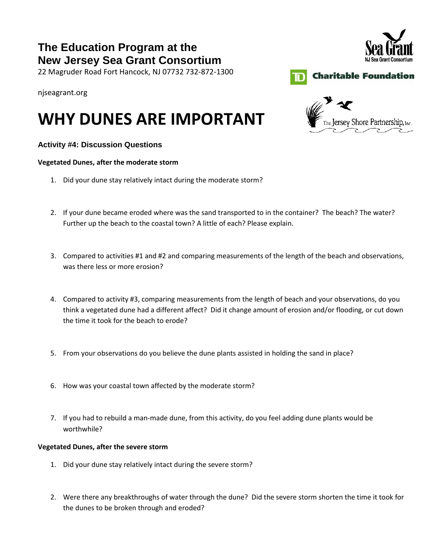22 Magruder Road Fort Hancock, NJ 07732 732‐872‐1300

### njseagrant.org

## **WHY DUNES ARE IMPORTANT**

### **Activity #4: Discussion Questions**

#### **Vegetated Dunes, after the moderate storm**

- 1. Did your dune stay relatively intact during the moderate storm?
- 2. If your dune became eroded where was the sand transported to in the container? The beach? The water? Further up the beach to the coastal town? A little of each? Please explain.
- 3. Compared to activities #1 and #2 and comparing measurements of the length of the beach and observations, was there less or more erosion?
- 4. Compared to activity #3, comparing measurements from the length of beach and your observations, do you think a vegetated dune had a different affect? Did it change amount of erosion and/or flooding, or cut down the time it took for the beach to erode?
- 5. From your observations do you believe the dune plants assisted in holding the sand in place?
- 6. How was your coastal town affected by the moderate storm?
- 7. If you had to rebuild a man-made dune, from this activity, do you feel adding dune plants would be worthwhile?

- 1. Did your dune stay relatively intact during the severe storm?
- 2. Were there any breakthroughs of water through the dune? Did the severe storm shorten the time it took for the dunes to be broken through and eroded?



Jersey Shore Partnership, Inc.



**Vegetated Dunes, after the severe storm**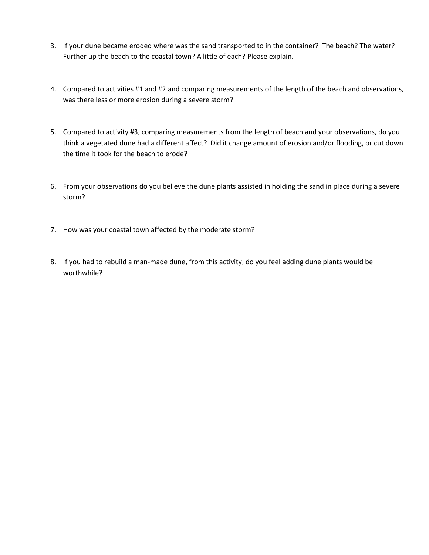- 3. If your dune became eroded where was the sand transported to in the container? The beach? The water? Further up the beach to the coastal town? A little of each? Please explain.
- 4. Compared to activities #1 and #2 and comparing measurements of the length of the beach and observations, was there less or more erosion during a severe storm?
- 5. Compared to activity #3, comparing measurements from the length of beach and your observations, do you think a vegetated dune had a different affect? Did it change amount of erosion and/or flooding, or cut down the time it took for the beach to erode?
- 6. From your observations do you believe the dune plants assisted in holding the sand in place during a severe storm?
- 7. How was your coastal town affected by the moderate storm?
- 8. If you had to rebuild a man-made dune, from this activity, do you feel adding dune plants would be worthwhile?